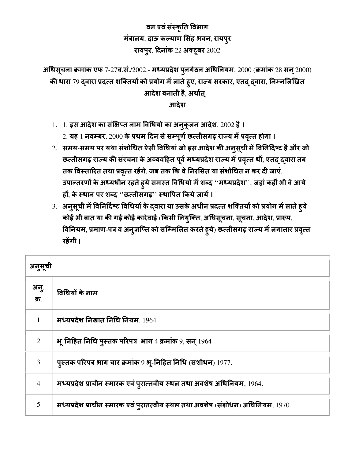## वन एवंसंकृ त वभाग मंत्रालय, दाऊ कल्याण सिंह भवन, रायपुर रायपूर, दिनांक 22 अक्टूबर  $2002$

अधिसूचना क्रमांक एफ 7-27व.सं./2002.- मध्यप्रदेश पुनर्गठन अधिनियम, 2000 (क्रमांक 28 सन् 2000) की धारा 79 दवारा प्रदत्त शक्तियों को प्रयोग में लाते हुए, राज्य सरकार, एतद् द्वारा, निम्नलिखित आदेश बनाती है, अर्थात् $-$ 

आदेश

1. 1. इस आदेश का संक्षिप्त नाम विधियों का अनुकूलन आदेश, 2002 है।

2. यह 1 नवम्बर, 2000 के प्रथम दिन से सम्पूर्ण छत्तीसगढ़ राज्य में प्रवृत्त होगा ।

- 2. समय-समय पर यथा संशोधित ऐसी विधियां जो इस आदेश की अनुसूची में विनिर्दिष्ट है और जो छत्तीसगढ़ राज्य की संरचना के अव्यवहित पूर्व मध्यप्रदेश राज्य में प्रवृत्त थीं, एतद् द्वारा तब तक विस्तारित तथा प्रवृत्त रहेंगे, जब तक कि वे निरसित या संशोधित न कर दी जाएं, उपान्तरणों के अध्यधीन रहते हुये समस्त विधियों में शब्द ''मध्यप्रदेश'', जहां कहीं भी वे आये हों, के स्थान पर शब्द  $^{\mathrm{o}}$ 'छत्तीसगढ'' स्थापित किये जायें।
- 3. अनुसूची में विनिर्दिष्ट विधियों के द्वारा या उसके अधीन प्रदत्त शक्तियों को प्रयोग में लाते हुये कोई भी बात या की गई कोई कार्रवाई (किसी नियुक्ति, अधिसूचना, सूचना, आदेश, प्रारूप, विनियम, प्रमाण-पत्र व अनुजप्ति को सम्मिलित करते हुये) छत्तीसगढ़ राज्य में लगातार प्रवृत्त रहेंगी ।

| अनुसूची        |                                                                                 |
|----------------|---------------------------------------------------------------------------------|
| अनु.<br>क्र.   | विधियों के नाम                                                                  |
|                | मध्यप्रदेश निखात निधि नियम, $1964$                                              |
| 2              | भू-निहित निधि पुस्तक परिपत्र- भाग 4 क्रमांक 9, सन् 1964                         |
| 3              | पुस्तक परिपत्र भाग चार क्रमांक 9 भू-निहित निधि (संशोधन) 1977.                   |
| $\overline{4}$ | मध्यप्रदेश प्राचीन स्मारक एवं पुरात्तवीय स्थल तथा अवशेष अधिनियम, 1964.          |
| 5              | मध्यप्रदेश प्राचीन स्मारक एवं पुरातत्वीय स्थल तथा अवशेष (संशोधन) अधिनियम, 1970. |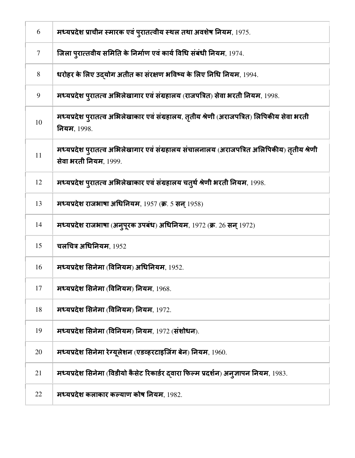| 6              | मध्यप्रदेश प्राचीन स्मारक एवं पुरातत्वीय स्थल तथा अवशेष नियम, 1975.                                                |
|----------------|--------------------------------------------------------------------------------------------------------------------|
| $\overline{7}$ | जिला प्रात्तवीय समिति के निर्माण एवं कार्य विधि संबंधी नियम, 1974.                                                 |
| 8              | धरोहर के लिए उदयोग अतीत का संरक्षण भविष्य के लिए निधि नियम, 1994.                                                  |
| 9              | मध्यप्रदेश पुरातत्व अभिलेखागार एवं संग्रहालय (राजपत्रित) सेवा भरती नियम, 1998.                                     |
| 10             | मध्यप्रदेश प्रातत्व अभिलेखाकार एवं संग्रहालय, तृतीय श्रेणी (अराजपत्रित) लिपिकीय सेवा भरती<br>नियम, 1998.           |
| 11             | मध्यप्रदेश पुरातत्व अभिलेखागार एवं संग्रहालय संचालनालय (अराजपत्रित अलिपिकीय) तृतीय श्रेणी<br>सेवा भरती नियम, 1999. |
| 12             | मध्यप्रदेश पुरातत्व अभिलेखाकार एवं संग्रहालय चतुर्थ श्रेणी भरती नियम, 1998.                                        |
| 13             | मध्यप्रदेश राजभाषा अधिनियम, 1957 (क्र. 5 सन् 1958)                                                                 |
| 14             | मध्यप्रदेश राजभाषा (अनुपूरक उपबंध) अधिनियम, 1972 (क्र. 26 सन् 1972)                                                |
| 15             | चलचित्र अधिनियम, $1952$                                                                                            |
| 16             | मध्यप्रदेश सिनेमा (विनियम) अधिनियम, 1952.                                                                          |
| 17             | मध्यप्रदेश सिनेमा (विनियम) नियम, 1968.                                                                             |
| 18             | मध्यप्रदेश सिनेमा (विनियम) नियम, 1972.                                                                             |
| 19             | मध्यप्रदेश सिनेमा (विनियम) नियम, 1972 (संशोधन).                                                                    |
| 20             | मध्यप्रदेश सिनेमा रेग्यूलेशन (एडव्हरटाइजिंग बेन) नियम, 1960.                                                       |
| 21             | मध्यप्रदेश सिनेमा (विडीयो कैसेट रिकार्डर द्वारा फिल्म प्रदर्शन) अनुज्ञापन नियम, 1983.                              |
| 22             | मध्यप्रदेश कलाकार कल्याण कोष नियम, 1982.                                                                           |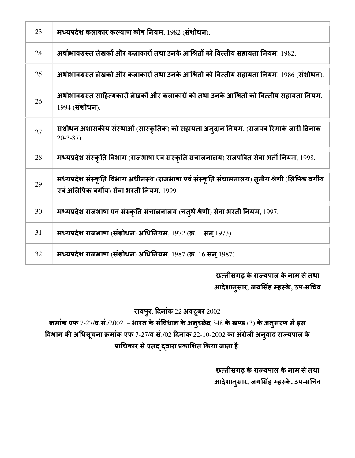| 23 | मध्यप्रदेश कलाकार कल्याण कोष नियम, 1982 (संशोधन).                                                                                         |
|----|-------------------------------------------------------------------------------------------------------------------------------------------|
| 24 | अर्थाभावग्रस्त लेखकों और कलाकारों तथा उनके आश्रितों को वित्तीय सहायता नियम, 1982.                                                         |
| 25 | अर्थाभावग्रस्त लेखकों और कलाकारों तथा उनके आश्रितों को वित्तीय सहायता नियम, 1986 (संशोधन).                                                |
| 26 | अर्थाभावग्रस्त साहित्यकारों लेखकों और कलाकारों को तथा उनके आश्रितों को वित्तीय सहायता नियम.<br>1994 (संशोधन).                             |
| 27 | संशोधन अशासकीय संस्थाओं (सांस्कृतिक) को सहायता अन्दान नियम, (राजपत्र रिमार्क जारी दिनांक<br>$20-3-87$ ).                                  |
| 28 | मध्यप्रदेश संस्कृति विभाग (राजभाषा एवं संस्कृति संचालनालय) राजपत्रित सेवा भर्ती नियम, 1998.                                               |
| 29 | मध्यप्रदेश संस्कृति विभाग अधीनस्थ (राजभाषा एवं संस्कृति संचालनालय) तृतीय श्रेणी (लिपिक वर्गीय<br>एवं अलिपिक वर्गीय) सेवा भरती नियम, 1999. |
| 30 | मध्यप्रदेश राजभाषा एवं संस्कृति संचालनालय (चतुर्थ श्रेणी) सेवा भरती नियम, 1997.                                                           |
| 31 | मध्यप्रदेश राजभाषा (संशोधन) अधिनियम, 1972 (क्र. 1 सन् 1973).                                                                              |
| 32 | मध्यप्रदेश राजभाषा (संशोधन) अधिनियम, 1987 (क्र. 16 सन 1987)                                                                               |

# छत्तीसगढ़ के राज्यपाल के नाम से तथा आदेशानसार ु **,** जयसंह 6हके**,** उप**-**स"चव

## रायपुर, दिनांक 22 अक्टूबर 2002

क्रमांक एफ 7-27/व.सं./2002. – भारत के संविधान के अनुच्छेद 348 के खण्ड (3) के अनुसरण में इस विभाग की अधिसूचना क्रमांक एफ 7-27/व.सं./02 दिनांक 22-10-2002 का अंग्रेजी अनुवाद राज्यपाल के प्राधिकार से एतद् द्वारा प्रकाशित किया जाता है.

> छत्तीसगढ़ के राज्यपाल के नाम से तथा आदेशानसार ु **,** जयसंह 6हके**,** उप**-**स"चव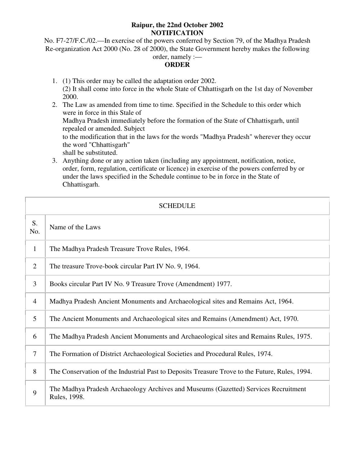### **Raipur, the 22nd October 2002 NOTIFICATION**

No. F7-27/F.C./02.—In exercise of the powers conferred by Section 79, of the Madhya Pradesh Re-organization Act 2000 (No. 28 of 2000), the State Government hereby makes the following order, namely :—

## **ORDER**

- 1. (1) This order may be called the adaptation order 2002. (2) It shall come into force in the whole State of Chhattisgarh on the 1st day of November 2000.
- 2. The Law as amended from time to time. Specified in the Schedule to this order which were in force in this Stale of Madhya Pradesh immediately before the formation of the State of Chhattisgarh, until repealed or amended. Subject to the modification that in the laws for the words "Madhya Pradesh" wherever they occur the word "Chhattisgarh" shall be substituted.
- 3. Anything done or any action taken (including any appointment, notification, notice, order, form, regulation, certificate or licence) in exercise of the powers conferred by or under the laws specified in the Schedule continue to be in force in the State of Chhattisgarh.

| <b>SCHEDULE</b> |                                                                                                     |
|-----------------|-----------------------------------------------------------------------------------------------------|
| S.<br>No.       | Name of the Laws                                                                                    |
| $\mathbf{1}$    | The Madhya Pradesh Treasure Trove Rules, 1964.                                                      |
| $\overline{2}$  | The treasure Trove-book circular Part IV No. 9, 1964.                                               |
| 3               | Books circular Part IV No. 9 Treasure Trove (Amendment) 1977.                                       |
| $\overline{4}$  | Madhya Pradesh Ancient Monuments and Archaeological sites and Remains Act, 1964.                    |
| 5               | The Ancient Monuments and Archaeological sites and Remains (Amendment) Act, 1970.                   |
| 6               | The Madhya Pradesh Ancient Monuments and Archaeological sites and Remains Rules, 1975.              |
| $\overline{7}$  | The Formation of District Archaeological Societies and Procedural Rules, 1974.                      |
| 8               | The Conservation of the Industrial Past to Deposits Treasure Trove to the Future, Rules, 1994.      |
| 9               | The Madhya Pradesh Archaeology Archives and Museums (Gazetted) Services Recruitment<br>Rules, 1998. |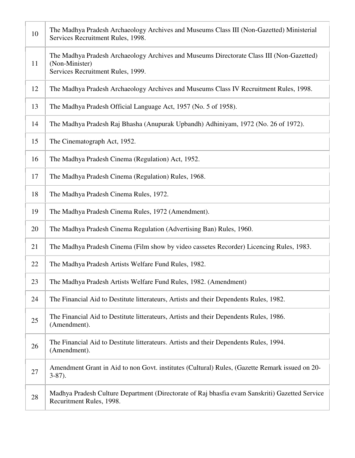| 10 | The Madhya Pradesh Archaeology Archives and Museums Class III (Non-Gazetted) Ministerial<br>Services Recruitment Rules, 1998.                   |
|----|-------------------------------------------------------------------------------------------------------------------------------------------------|
| 11 | The Madhya Pradesh Archaeology Archives and Museums Directorate Class III (Non-Gazetted)<br>(Non-Minister)<br>Services Recruitment Rules, 1999. |
| 12 | The Madhya Pradesh Archaeology Archives and Museums Class IV Recruitment Rules, 1998.                                                           |
| 13 | The Madhya Pradesh Official Language Act, 1957 (No. 5 of 1958).                                                                                 |
| 14 | The Madhya Pradesh Raj Bhasha (Anupurak Upbandh) Adhiniyam, 1972 (No. 26 of 1972).                                                              |
| 15 | The Cinematograph Act, 1952.                                                                                                                    |
| 16 | The Madhya Pradesh Cinema (Regulation) Act, 1952.                                                                                               |
| 17 | The Madhya Pradesh Cinema (Regulation) Rules, 1968.                                                                                             |
| 18 | The Madhya Pradesh Cinema Rules, 1972.                                                                                                          |
| 19 | The Madhya Pradesh Cinema Rules, 1972 (Amendment).                                                                                              |
| 20 | The Madhya Pradesh Cinema Regulation (Advertising Ban) Rules, 1960.                                                                             |
| 21 | The Madhya Pradesh Cinema (Film show by video cassetes Recorder) Licencing Rules, 1983.                                                         |
| 22 | The Madhya Pradesh Artists Welfare Fund Rules, 1982.                                                                                            |
| 23 | The Madhya Pradesh Artists Welfare Fund Rules, 1982. (Amendment)                                                                                |
| 24 | The Financial Aid to Destitute litterateurs, Artists and their Dependents Rules, 1982.                                                          |
| 25 | The Financial Aid to Destitute litterateurs, Artists and their Dependents Rules, 1986.<br>(Amendment).                                          |
| 26 | The Financial Aid to Destitute litterateurs. Artists and their Dependents Rules, 1994.<br>(Amendment).                                          |
| 27 | Amendment Grant in Aid to non Govt. institutes (Cultural) Rules, (Gazette Remark issued on 20-<br>$3-87$ ).                                     |
| 28 | Madhya Pradesh Culture Department (Directorate of Raj bhasfia evam Sanskriti) Gazetted Service<br>Recuritment Rules, 1998.                      |